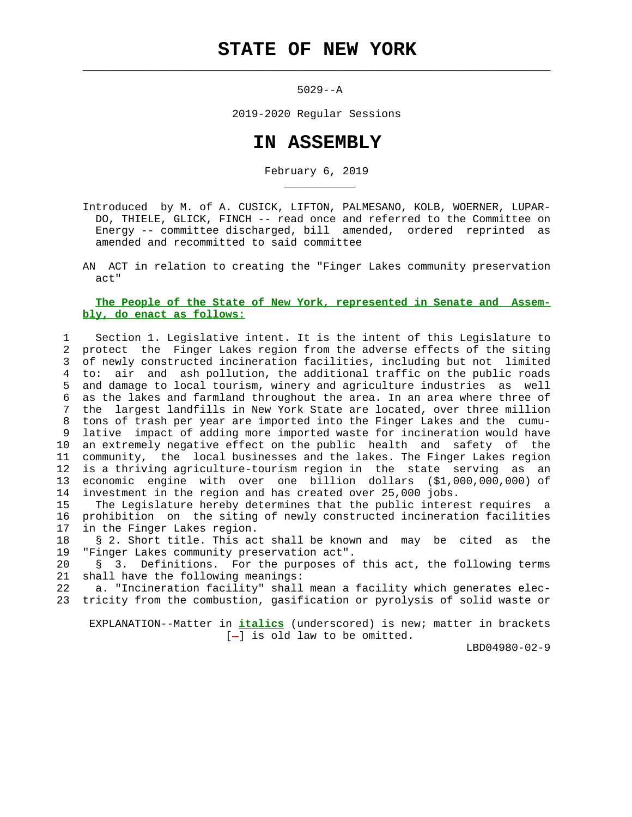$\mathcal{L}_\text{max} = \frac{1}{2} \sum_{i=1}^{n} \frac{1}{2} \sum_{i=1}^{n} \frac{1}{2} \sum_{i=1}^{n} \frac{1}{2} \sum_{i=1}^{n} \frac{1}{2} \sum_{i=1}^{n} \frac{1}{2} \sum_{i=1}^{n} \frac{1}{2} \sum_{i=1}^{n} \frac{1}{2} \sum_{i=1}^{n} \frac{1}{2} \sum_{i=1}^{n} \frac{1}{2} \sum_{i=1}^{n} \frac{1}{2} \sum_{i=1}^{n} \frac{1}{2} \sum_{i=1}^{n} \frac{1$ 

\_\_\_\_\_\_\_\_\_\_\_

5029--A

2019-2020 Regular Sessions

## **IN ASSEMBLY**

February 6, 2019

 Introduced by M. of A. CUSICK, LIFTON, PALMESANO, KOLB, WOERNER, LUPAR- DO, THIELE, GLICK, FINCH -- read once and referred to the Committee on Energy -- committee discharged, bill amended, ordered reprinted as amended and recommitted to said committee

 AN ACT in relation to creating the "Finger Lakes community preservation act"

## **The People of the State of New York, represented in Senate and Assem bly, do enact as follows:**

 1 Section 1. Legislative intent. It is the intent of this Legislature to 2 protect the Finger Lakes region from the adverse effects of the siting 3 of newly constructed incineration facilities, including but not limited 4 to: air and ash pollution, the additional traffic on the public roads 5 and damage to local tourism, winery and agriculture industries as well 6 as the lakes and farmland throughout the area. In an area where three of 7 the largest landfills in New York State are located, over three million 8 tons of trash per year are imported into the Finger Lakes and the cumu- 9 lative impact of adding more imported waste for incineration would have 10 an extremely negative effect on the public health and safety of the 11 community, the local businesses and the lakes. The Finger Lakes region 12 is a thriving agriculture-tourism region in the state serving as an 13 economic engine with over one billion dollars (\$1,000,000,000) of 14 investment in the region and has created over 25,000 jobs.

 15 The Legislature hereby determines that the public interest requires a 16 prohibition on the siting of newly constructed incineration facilities 17 in the Finger Lakes region.

 18 § 2. Short title. This act shall be known and may be cited as the 19 "Finger Lakes community preservation act".

 20 § 3. Definitions. For the purposes of this act, the following terms 21 shall have the following meanings:

 22 a. "Incineration facility" shall mean a facility which generates elec- 23 tricity from the combustion, gasification or pyrolysis of solid waste or

 EXPLANATION--Matter in **italics** (underscored) is new; matter in brackets  $[-]$  is old law to be omitted.

LBD04980-02-9